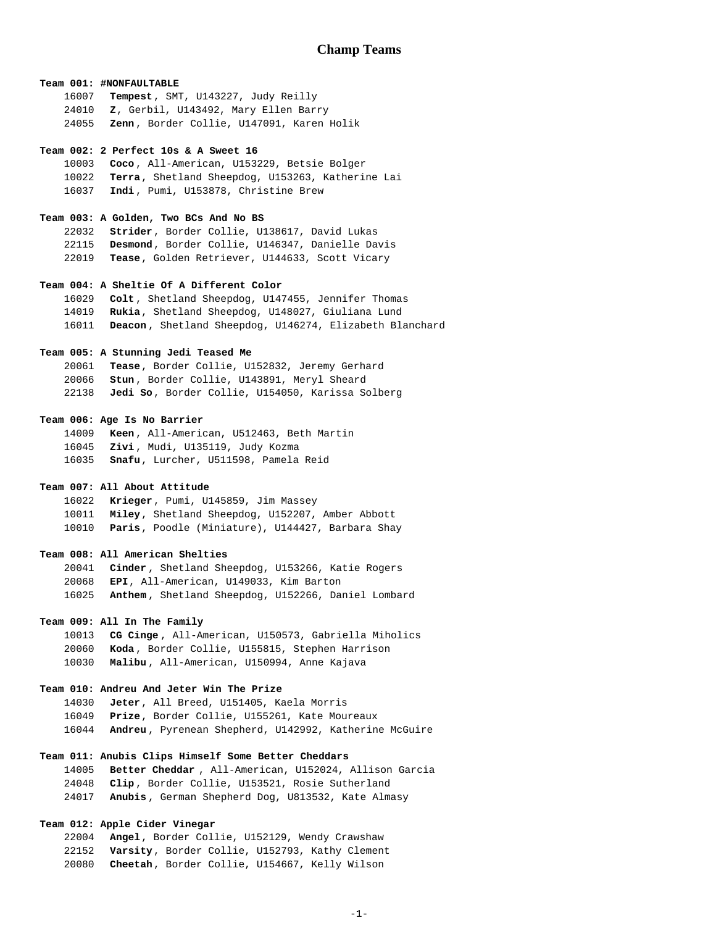### **Team 001: #NONFAULTABLE**

**Tempest**, SMT, U143227, Judy Reilly **Z**, Gerbil, U143492, Mary Ellen Barry **Zenn** , Border Collie, U147091, Karen Holik

#### **Team 002: 2 Perfect 10s & A Sweet 16**

**Coco** , All-American, U153229, Betsie Bolger **Terra**, Shetland Sheepdog, U153263, Katherine Lai **Indi** , Pumi, U153878, Christine Brew

### **Team 003: A Golden, Two BCs And No BS**

**Strider**, Border Collie, U138617, David Lukas **Desmond**, Border Collie, U146347, Danielle Davis **Tease**, Golden Retriever, U144633, Scott Vicary

## **Team 004: A Sheltie Of A Different Color**

**Colt** , Shetland Sheepdog, U147455, Jennifer Thomas **Rukia**, Shetland Sheepdog, U148027, Giuliana Lund **Deacon** , Shetland Sheepdog, U146274, Elizabeth Blanchard

## **Team 005: A Stunning Jedi Teased Me**

**Tease**, Border Collie, U152832, Jeremy Gerhard **Stun** , Border Collie, U143891, Meryl Sheard **Jedi So**, Border Collie, U154050, Karissa Solberg

### **Team 006: Age Is No Barrier**

**Keen** , All-American, U512463, Beth Martin **Zivi** , Mudi, U135119, Judy Kozma **Snafu**, Lurcher, U511598, Pamela Reid

## **Team 007: All About Attitude**

**Krieger**, Pumi, U145859, Jim Massey **Miley**, Shetland Sheepdog, U152207, Amber Abbott **Paris**, Poodle (Miniature), U144427, Barbara Shay

### **Team 008: All American Shelties**

**Cinder** , Shetland Sheepdog, U153266, Katie Rogers **EPI**, All-American, U149033, Kim Barton **Anthem** , Shetland Sheepdog, U152266, Daniel Lombard

# **Team 009: All In The Family**

**CG Cinge** , All-American, U150573, Gabriella Miholics **Koda** , Border Collie, U155815, Stephen Harrison **Malibu** , All-American, U150994, Anne Kajava

# **Team 010: Andreu And Jeter Win The Prize**

**Jeter**, All Breed, U151405, Kaela Morris **Prize**, Border Collie, U155261, Kate Moureaux **Andreu** , Pyrenean Shepherd, U142992, Katherine McGuire

# **Team 011: Anubis Clips Himself Some Better Cheddars**

**Better Cheddar** , All-American, U152024, Allison Garcia **Clip** , Border Collie, U153521, Rosie Sutherland **Anubis** , German Shepherd Dog, U813532, Kate Almasy

## **Team 012: Apple Cider Vinegar**

**Angel**, Border Collie, U152129, Wendy Crawshaw **Varsity**, Border Collie, U152793, Kathy Clement **Cheetah**, Border Collie, U154667, Kelly Wilson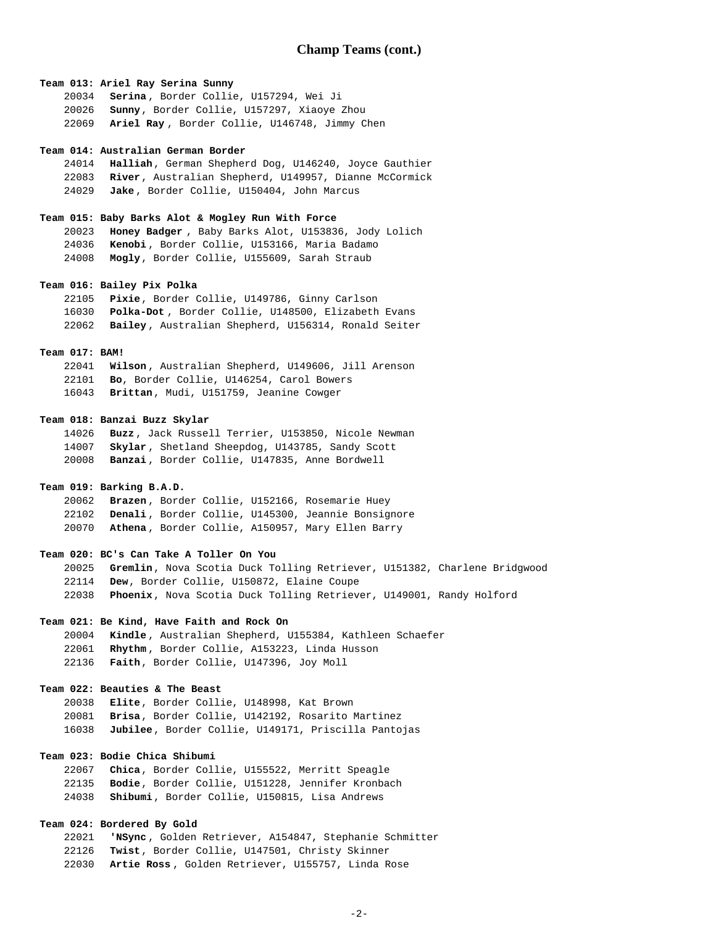### **Team 013: Ariel Ray Serina Sunny**

**Serina** , Border Collie, U157294, Wei Ji **Sunny**, Border Collie, U157297, Xiaoye Zhou **Ariel Ray** , Border Collie, U146748, Jimmy Chen

#### **Team 014: Australian German Border**

**Halliah**, German Shepherd Dog, U146240, Joyce Gauthier **River**, Australian Shepherd, U149957, Dianne McCormick **Jake** , Border Collie, U150404, John Marcus

### **Team 015: Baby Barks Alot & Mogley Run With Force**

**Honey Badger** , Baby Barks Alot, U153836, Jody Lolich **Kenobi** , Border Collie, U153166, Maria Badamo **Mogly**, Border Collie, U155609, Sarah Straub

### **Team 016: Bailey Pix Polka**

**Pixie**, Border Collie, U149786, Ginny Carlson **Polka-Dot** , Border Collie, U148500, Elizabeth Evans **Bailey** , Australian Shepherd, U156314, Ronald Seiter

## **Team 017: BAM!**

**Wilson** , Australian Shepherd, U149606, Jill Arenson **Bo**, Border Collie, U146254, Carol Bowers **Brittan**, Mudi, U151759, Jeanine Cowger

### **Team 018: Banzai Buzz Skylar**

**Buzz** , Jack Russell Terrier, U153850, Nicole Newman **Skylar** , Shetland Sheepdog, U143785, Sandy Scott **Banzai** , Border Collie, U147835, Anne Bordwell

# **Team 019: Barking B.A.D.**

**Brazen** , Border Collie, U152166, Rosemarie Huey **Denali** , Border Collie, U145300, Jeannie Bonsignore **Athena** , Border Collie, A150957, Mary Ellen Barry

### **Team 020: BC's Can Take A Toller On You**

**Gremlin**, Nova Scotia Duck Tolling Retriever, U151382, Charlene Bridgwood **Dew**, Border Collie, U150872, Elaine Coupe **Phoenix**, Nova Scotia Duck Tolling Retriever, U149001, Randy Holford

## **Team 021: Be Kind, Have Faith and Rock On**

**Kindle** , Australian Shepherd, U155384, Kathleen Schaefer **Rhythm** , Border Collie, A153223, Linda Husson **Faith**, Border Collie, U147396, Joy Moll

# **Team 022: Beauties & The Beast**

**Elite**, Border Collie, U148998, Kat Brown **Brisa**, Border Collie, U142192, Rosarito Martinez **Jubilee**, Border Collie, U149171, Priscilla Pantojas

# **Team 023: Bodie Chica Shibumi**

**Chica**, Border Collie, U155522, Merritt Speagle **Bodie**, Border Collie, U151228, Jennifer Kronbach **Shibumi**, Border Collie, U150815, Lisa Andrews

# **Team 024: Bordered By Gold**

**'NSync** , Golden Retriever, A154847, Stephanie Schmitter **Twist**, Border Collie, U147501, Christy Skinner **Artie Ross** , Golden Retriever, U155757, Linda Rose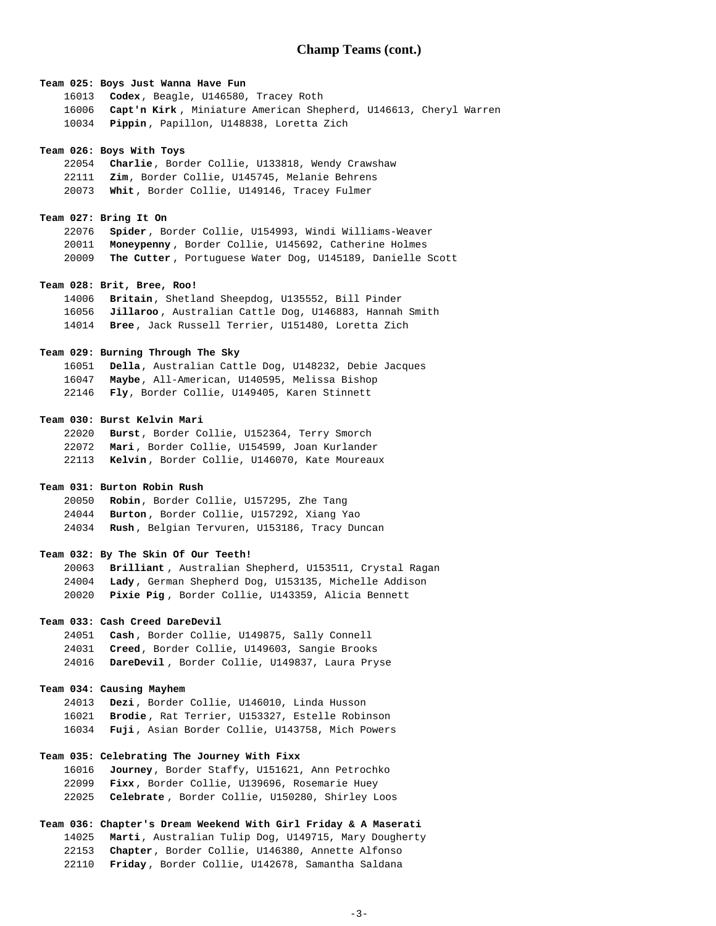## **Team 025: Boys Just Wanna Have Fun**

**Codex**, Beagle, U146580, Tracey Roth **Capt'n Kirk** , Miniature American Shepherd, U146613, Cheryl Warren **Pippin** , Papillon, U148838, Loretta Zich

#### **Team 026: Boys With Toys**

**Charlie**, Border Collie, U133818, Wendy Crawshaw **Zim**, Border Collie, U145745, Melanie Behrens **Whit** , Border Collie, U149146, Tracey Fulmer

### **Team 027: Bring It On**

**Spider** , Border Collie, U154993, Windi Williams-Weaver **Moneypenny** , Border Collie, U145692, Catherine Holmes **The Cutter** , Portuguese Water Dog, U145189, Danielle Scott

### **Team 028: Brit, Bree, Roo!**

**Britain**, Shetland Sheepdog, U135552, Bill Pinder **Jillaroo** , Australian Cattle Dog, U146883, Hannah Smith **Bree** , Jack Russell Terrier, U151480, Loretta Zich

## **Team 029: Burning Through The Sky**

**Della**, Australian Cattle Dog, U148232, Debie Jacques **Maybe**, All-American, U140595, Melissa Bishop **Fly**, Border Collie, U149405, Karen Stinnett

### **Team 030: Burst Kelvin Mari**

**Burst**, Border Collie, U152364, Terry Smorch **Mari** , Border Collie, U154599, Joan Kurlander **Kelvin** , Border Collie, U146070, Kate Moureaux

## **Team 031: Burton Robin Rush**

**Robin**, Border Collie, U157295, Zhe Tang **Burton** , Border Collie, U157292, Xiang Yao **Rush** , Belgian Tervuren, U153186, Tracy Duncan

## **Team 032: By The Skin Of Our Teeth!**

**Brilliant** , Australian Shepherd, U153511, Crystal Ragan **Lady** , German Shepherd Dog, U153135, Michelle Addison **Pixie Pig** , Border Collie, U143359, Alicia Bennett

## **Team 033: Cash Creed DareDevil**

**Cash** , Border Collie, U149875, Sally Connell **Creed**, Border Collie, U149603, Sangie Brooks **DareDevil** , Border Collie, U149837, Laura Pryse

## **Team 034: Causing Mayhem**

**Dezi** , Border Collie, U146010, Linda Husson **Brodie** , Rat Terrier, U153327, Estelle Robinson **Fuji** , Asian Border Collie, U143758, Mich Powers

# **Team 035: Celebrating The Journey With Fixx**

| 16016 Journey, Border Staffy, U151621, Ann Petrochko  |
|-------------------------------------------------------|
| 22099 Fixx, Border Collie, U139696, Rosemarie Huey    |
| 22025 Celebrate, Border Collie, U150280, Shirley Loos |

# **Team 036: Chapter's Dream Weekend With Girl Friday & A Maserati**

**Marti**, Australian Tulip Dog, U149715, Mary Dougherty **Chapter**, Border Collie, U146380, Annette Alfonso

**Friday** , Border Collie, U142678, Samantha Saldana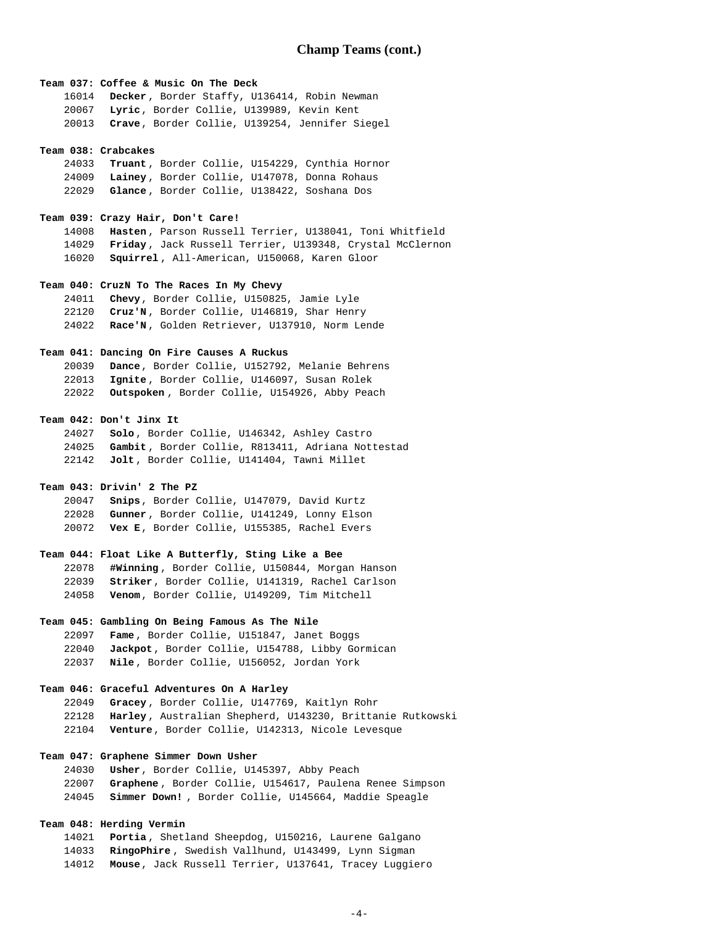### **Team 037: Coffee & Music On The Deck**

**Decker** , Border Staffy, U136414, Robin Newman **Lyric**, Border Collie, U139989, Kevin Kent **Crave**, Border Collie, U139254, Jennifer Siegel

#### **Team 038: Crabcakes**

**Truant** , Border Collie, U154229, Cynthia Hornor **Lainey** , Border Collie, U147078, Donna Rohaus **Glance** , Border Collie, U138422, Soshana Dos

### **Team 039: Crazy Hair, Don't Care!**

**Hasten** , Parson Russell Terrier, U138041, Toni Whitfield **Friday** , Jack Russell Terrier, U139348, Crystal McClernon **Squirrel** , All-American, U150068, Karen Gloor

## **Team 040: CruzN To The Races In My Chevy**

**Chevy**, Border Collie, U150825, Jamie Lyle **Cruz'N** , Border Collie, U146819, Shar Henry **Race'N** , Golden Retriever, U137910, Norm Lende

### **Team 041: Dancing On Fire Causes A Ruckus**

| 20039 | Dance, Border Collie, U152792, Melanie Behrens      |
|-------|-----------------------------------------------------|
|       | 22013 Ignite, Border Collie, U146097, Susan Rolek   |
|       | 22022 Outspoken, Border Collie, U154926, Abby Peach |

### **Team 042: Don't Jinx It**

**Solo** , Border Collie, U146342, Ashley Castro **Gambit** , Border Collie, R813411, Adriana Nottestad **Jolt** , Border Collie, U141404, Tawni Millet

## **Team 043: Drivin' 2 The PZ**

**Snips**, Border Collie, U147079, David Kurtz **Gunner** , Border Collie, U141249, Lonny Elson **Vex E**, Border Collie, U155385, Rachel Evers

### **Team 044: Float Like A Butterfly, Sting Like a Bee**

**#Winning** , Border Collie, U150844, Morgan Hanson **Striker**, Border Collie, U141319, Rachel Carlson **Venom**, Border Collie, U149209, Tim Mitchell

## **Team 045: Gambling On Being Famous As The Nile**

**Fame** , Border Collie, U151847, Janet Boggs **Jackpot**, Border Collie, U154788, Libby Gormican **Nile** , Border Collie, U156052, Jordan York

### **Team 046: Graceful Adventures On A Harley**

**Gracey** , Border Collie, U147769, Kaitlyn Rohr **Harley** , Australian Shepherd, U143230, Brittanie Rutkowski **Venture**, Border Collie, U142313, Nicole Levesque

## **Team 047: Graphene Simmer Down Usher**

**Usher**, Border Collie, U145397, Abby Peach

- **Graphene** , Border Collie, U154617, Paulena Renee Simpson
- **Simmer Down!** , Border Collie, U145664, Maddie Speagle

# **Team 048: Herding Vermin**

**Portia** , Shetland Sheepdog, U150216, Laurene Galgano **RingoPhire** , Swedish Vallhund, U143499, Lynn Sigman **Mouse**, Jack Russell Terrier, U137641, Tracey Luggiero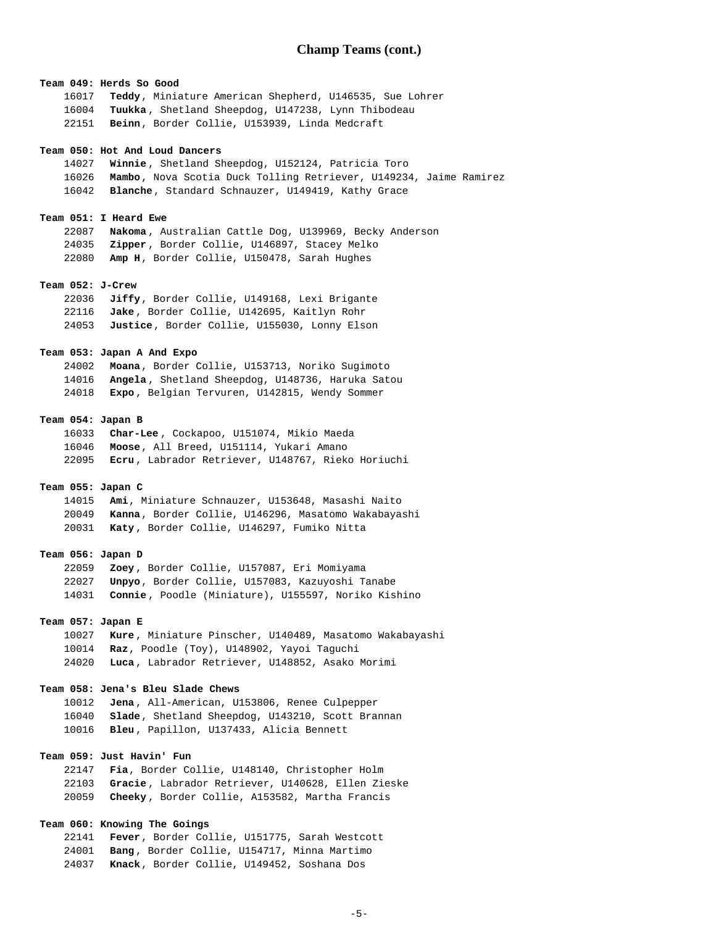**Team 049: Herds So Good Teddy**, Miniature American Shepherd, U146535, Sue Lohrer **Tuukka** , Shetland Sheepdog, U147238, Lynn Thibodeau **Beinn**, Border Collie, U153939, Linda Medcraft  **Team 050: Hot And Loud Dancers Winnie** , Shetland Sheepdog, U152124, Patricia Toro **Mambo**, Nova Scotia Duck Tolling Retriever, U149234, Jaime Ramirez **Blanche**, Standard Schnauzer, U149419, Kathy Grace  **Team 051: I Heard Ewe Nakoma** , Australian Cattle Dog, U139969, Becky Anderson **Zipper** , Border Collie, U146897, Stacey Melko **Amp H**, Border Collie, U150478, Sarah Hughes  **Team 052: J-Crew Jiffy**, Border Collie, U149168, Lexi Brigante **Jake** , Border Collie, U142695, Kaitlyn Rohr **Justice**, Border Collie, U155030, Lonny Elson  **Team 053: Japan A And Expo Moana**, Border Collie, U153713, Noriko Sugimoto **Angela** , Shetland Sheepdog, U148736, Haruka Satou **Expo** , Belgian Tervuren, U142815, Wendy Sommer  **Team 054: Japan B Char-Lee** , Cockapoo, U151074, Mikio Maeda **Moose**, All Breed, U151114, Yukari Amano **Ecru** , Labrador Retriever, U148767, Rieko Horiuchi  **Team 055: Japan C Ami**, Miniature Schnauzer, U153648, Masashi Naito **Kanna**, Border Collie, U146296, Masatomo Wakabayashi **Katy** , Border Collie, U146297, Fumiko Nitta  **Team 056: Japan D Zoey** , Border Collie, U157087, Eri Momiyama **Unpyo**, Border Collie, U157083, Kazuyoshi Tanabe **Connie** , Poodle (Miniature), U155597, Noriko Kishino  **Team 057: Japan E Kure** , Miniature Pinscher, U140489, Masatomo Wakabayashi **Raz**, Poodle (Toy), U148902, Yayoi Taguchi **Luca** , Labrador Retriever, U148852, Asako Morimi  **Team 058: Jena's Bleu Slade Chews Jena** , All-American, U153806, Renee Culpepper **Slade**, Shetland Sheepdog, U143210, Scott Brannan **Bleu** , Papillon, U137433, Alicia Bennett  **Team 059: Just Havin' Fun Fia**, Border Collie, U148140, Christopher Holm **Gracie** , Labrador Retriever, U140628, Ellen Zieske **Cheeky** , Border Collie, A153582, Martha Francis  **Team 060: Knowing The Goings Fever**, Border Collie, U151775, Sarah Westcott

**Bang** , Border Collie, U154717, Minna Martimo **Knack**, Border Collie, U149452, Soshana Dos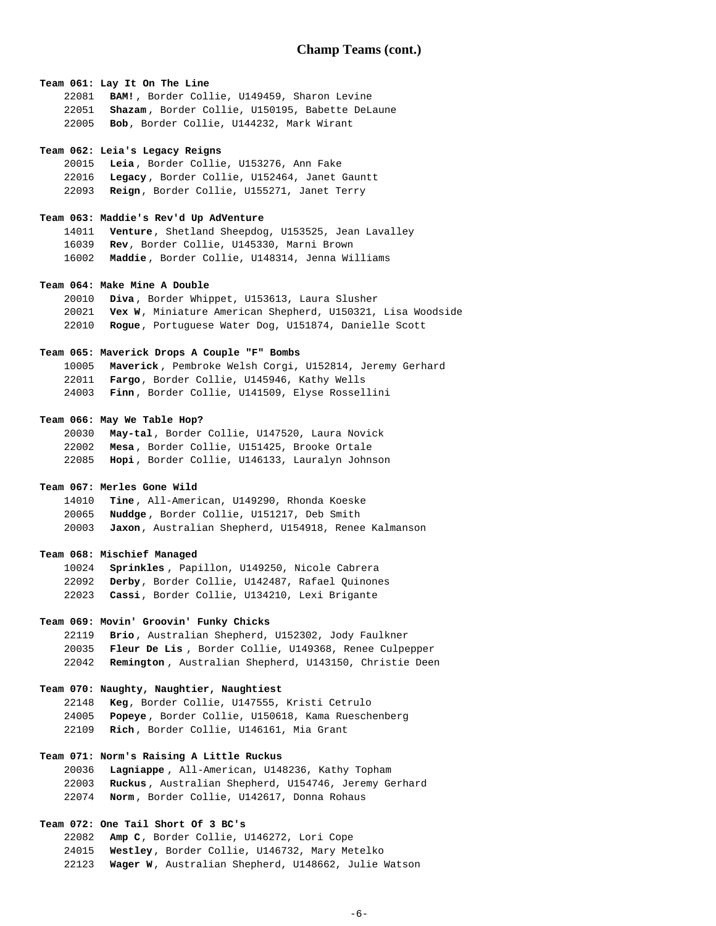## **Team 061: Lay It On The Line**

**BAM!** , Border Collie, U149459, Sharon Levine **Shazam** , Border Collie, U150195, Babette DeLaune **Bob**, Border Collie, U144232, Mark Wirant

### **Team 062: Leia's Legacy Reigns**

**Leia** , Border Collie, U153276, Ann Fake **Legacy** , Border Collie, U152464, Janet Gauntt **Reign**, Border Collie, U155271, Janet Terry

## **Team 063: Maddie's Rev'd Up AdVenture**

**Venture**, Shetland Sheepdog, U153525, Jean Lavalley **Rev**, Border Collie, U145330, Marni Brown **Maddie** , Border Collie, U148314, Jenna Williams

## **Team 064: Make Mine A Double**

**Diva** , Border Whippet, U153613, Laura Slusher **Vex W**, Miniature American Shepherd, U150321, Lisa Woodside **Rogue**, Portuguese Water Dog, U151874, Danielle Scott

## **Team 065: Maverick Drops A Couple "F" Bombs**

**Maverick** , Pembroke Welsh Corgi, U152814, Jeremy Gerhard **Fargo**, Border Collie, U145946, Kathy Wells **Finn** , Border Collie, U141509, Elyse Rossellini

## **Team 066: May We Table Hop?**

**May-tal**, Border Collie, U147520, Laura Novick **Mesa** , Border Collie, U151425, Brooke Ortale **Hopi** , Border Collie, U146133, Lauralyn Johnson

## **Team 067: Merles Gone Wild**

**Tine** , All-American, U149290, Rhonda Koeske **Nuddge** , Border Collie, U151217, Deb Smith **Jaxon**, Australian Shepherd, U154918, Renee Kalmanson

### **Team 068: Mischief Managed**

**Sprinkles** , Papillon, U149250, Nicole Cabrera **Derby**, Border Collie, U142487, Rafael Quinones **Cassi**, Border Collie, U134210, Lexi Brigante

## **Team 069: Movin' Groovin' Funky Chicks**

**Brio** , Australian Shepherd, U152302, Jody Faulkner **Fleur De Lis** , Border Collie, U149368, Renee Culpepper **Remington** , Australian Shepherd, U143150, Christie Deen

## **Team 070: Naughty, Naughtier, Naughtiest**

**Keg**, Border Collie, U147555, Kristi Cetrulo **Popeye** , Border Collie, U150618, Kama Rueschenberg **Rich** , Border Collie, U146161, Mia Grant

# **Team 071: Norm's Raising A Little Ruckus**

**Lagniappe** , All-American, U148236, Kathy Topham **Ruckus** , Australian Shepherd, U154746, Jeremy Gerhard **Norm** , Border Collie, U142617, Donna Rohaus

# **Team 072: One Tail Short Of 3 BC's**

**Amp C**, Border Collie, U146272, Lori Cope **Westley**, Border Collie, U146732, Mary Metelko **Wager W**, Australian Shepherd, U148662, Julie Watson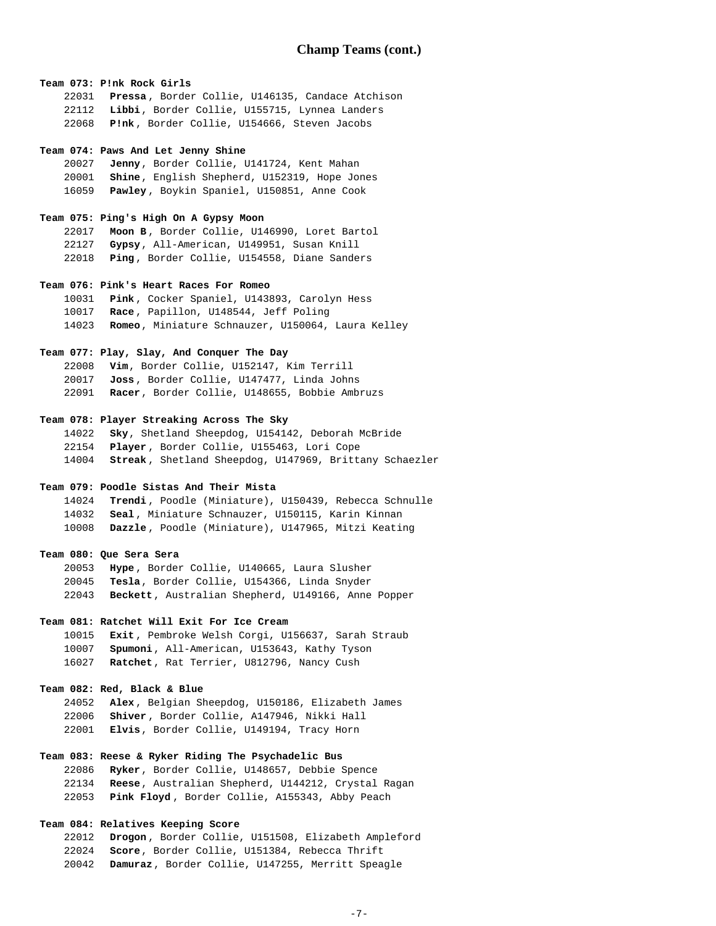**Team 073: P!nk Rock Girls Pressa** , Border Collie, U146135, Candace Atchison **Libbi**, Border Collie, U155715, Lynnea Landers **P!nk** , Border Collie, U154666, Steven Jacobs

#### **Team 074: Paws And Let Jenny Shine**

**Jenny**, Border Collie, U141724, Kent Mahan **Shine**, English Shepherd, U152319, Hope Jones **Pawley** , Boykin Spaniel, U150851, Anne Cook

### **Team 075: Ping's High On A Gypsy Moon**

**Moon B** , Border Collie, U146990, Loret Bartol **Gypsy**, All-American, U149951, Susan Knill **Ping** , Border Collie, U154558, Diane Sanders

## **Team 076: Pink's Heart Races For Romeo**

**Pink** , Cocker Spaniel, U143893, Carolyn Hess **Race** , Papillon, U148544, Jeff Poling **Romeo**, Miniature Schnauzer, U150064, Laura Kelley

# **Team 077: Play, Slay, And Conquer The Day**

**Vim**, Border Collie, U152147, Kim Terrill **Joss** , Border Collie, U147477, Linda Johns **Racer**, Border Collie, U148655, Bobbie Ambruzs

## **Team 078: Player Streaking Across The Sky**

**Sky**, Shetland Sheepdog, U154142, Deborah McBride **Player** , Border Collie, U155463, Lori Cope **Streak** , Shetland Sheepdog, U147969, Brittany Schaezler

## **Team 079: Poodle Sistas And Their Mista**

**Trendi** , Poodle (Miniature), U150439, Rebecca Schnulle **Seal** , Miniature Schnauzer, U150115, Karin Kinnan **Dazzle** , Poodle (Miniature), U147965, Mitzi Keating

### **Team 080: Que Sera Sera**

**Hype** , Border Collie, U140665, Laura Slusher **Tesla**, Border Collie, U154366, Linda Snyder **Beckett**, Australian Shepherd, U149166, Anne Popper

# **Team 081: Ratchet Will Exit For Ice Cream**

**Exit** , Pembroke Welsh Corgi, U156637, Sarah Straub **Spumoni**, All-American, U153643, Kathy Tyson **Ratchet**, Rat Terrier, U812796, Nancy Cush

## **Team 082: Red, Black & Blue**

**Alex** , Belgian Sheepdog, U150186, Elizabeth James **Shiver** , Border Collie, A147946, Nikki Hall **Elvis**, Border Collie, U149194, Tracy Horn

# **Team 083: Reese & Ryker Riding The Psychadelic Bus**

**Ryker**, Border Collie, U148657, Debbie Spence **Reese**, Australian Shepherd, U144212, Crystal Ragan **Pink Floyd** , Border Collie, A155343, Abby Peach

# **Team 084: Relatives Keeping Score**

**Drogon** , Border Collie, U151508, Elizabeth Ampleford **Score**, Border Collie, U151384, Rebecca Thrift **Damuraz**, Border Collie, U147255, Merritt Speagle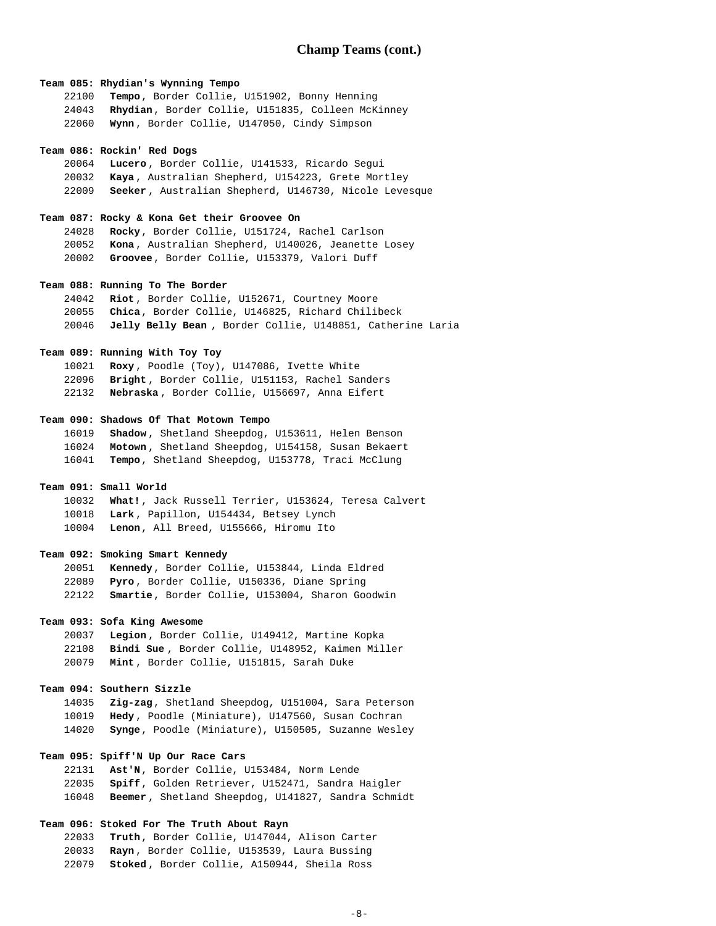### **Team 085: Rhydian's Wynning Tempo**

| 22100 | Tempo, Border Collie, U151902, Bonny Henning            |
|-------|---------------------------------------------------------|
|       | 24043 Rhydian, Border Collie, U151835, Colleen McKinney |
| 22060 | Wynn, Border Collie, U147050, Cindy Simpson             |

#### **Team 086: Rockin' Red Dogs**

**Lucero** , Border Collie, U141533, Ricardo Segui **Kaya** , Australian Shepherd, U154223, Grete Mortley **Seeker** , Australian Shepherd, U146730, Nicole Levesque

### **Team 087: Rocky & Kona Get their Groovee On**

**Rocky**, Border Collie, U151724, Rachel Carlson **Kona** , Australian Shepherd, U140026, Jeanette Losey **Groovee**, Border Collie, U153379, Valori Duff

### **Team 088: Running To The Border**

**Riot** , Border Collie, U152671, Courtney Moore **Chica**, Border Collie, U146825, Richard Chilibeck **Jelly Belly Bean** , Border Collie, U148851, Catherine Laria

## **Team 089: Running With Toy Toy**

**Roxy** , Poodle (Toy), U147086, Ivette White **Bright** , Border Collie, U151153, Rachel Sanders **Nebraska** , Border Collie, U156697, Anna Eifert

### **Team 090: Shadows Of That Motown Tempo**

**Shadow** , Shetland Sheepdog, U153611, Helen Benson **Motown** , Shetland Sheepdog, U154158, Susan Bekaert **Tempo**, Shetland Sheepdog, U153778, Traci McClung

## **Team 091: Small World**

**What!**, Jack Russell Terrier, U153624, Teresa Calvert **Lark** , Papillon, U154434, Betsey Lynch **Lenon**, All Breed, U155666, Hiromu Ito

## **Team 092: Smoking Smart Kennedy**

**Kennedy**, Border Collie, U153844, Linda Eldred **Pyro** , Border Collie, U150336, Diane Spring **Smartie**, Border Collie, U153004, Sharon Goodwin

# **Team 093: Sofa King Awesome**

**Legion** , Border Collie, U149412, Martine Kopka **Bindi Sue** , Border Collie, U148952, Kaimen Miller **Mint** , Border Collie, U151815, Sarah Duke

### **Team 094: Southern Sizzle**

**Zig-zag**, Shetland Sheepdog, U151004, Sara Peterson **Hedy** , Poodle (Miniature), U147560, Susan Cochran **Synge**, Poodle (Miniature), U150505, Suzanne Wesley

# **Team 095: Spiff'N Up Our Race Cars**

**Ast'N**, Border Collie, U153484, Norm Lende **Spiff**, Golden Retriever, U152471, Sandra Haigler **Beemer** , Shetland Sheepdog, U141827, Sandra Schmidt

# **Team 096: Stoked For The Truth About Rayn**

**Truth**, Border Collie, U147044, Alison Carter **Rayn** , Border Collie, U153539, Laura Bussing **Stoked** , Border Collie, A150944, Sheila Ross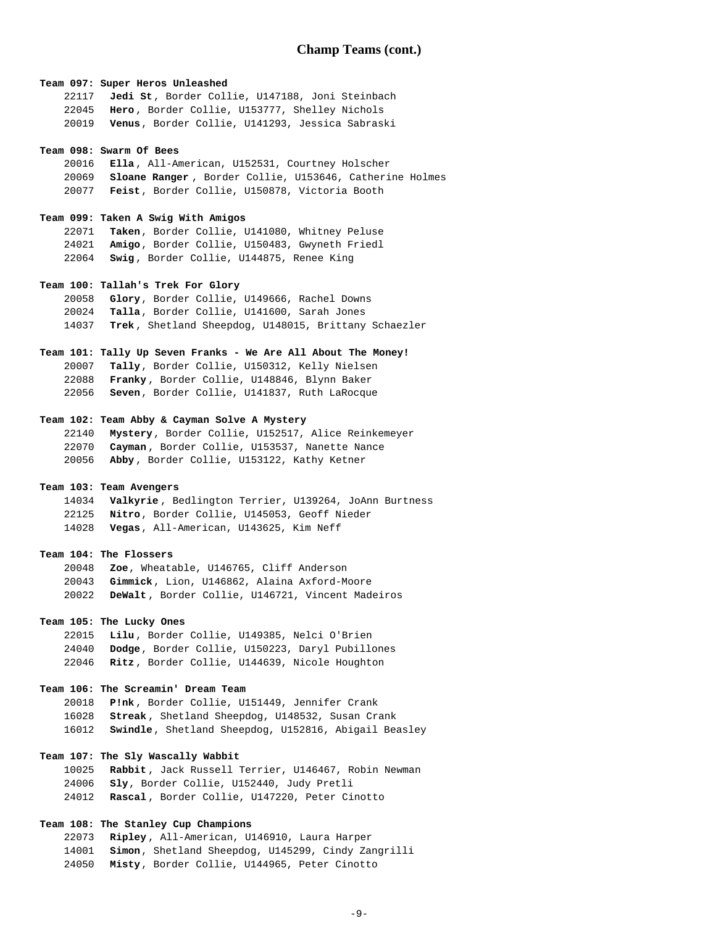# **Team 097: Super Heros Unleashed**

|       | 22117 Jedi St, Border Collie, U147188, Joni Steinbach |
|-------|-------------------------------------------------------|
| 22045 | Hero, Border Collie, U153777, Shelley Nichols         |
| 20019 | Venus, Border Collie, U141293, Jessica Sabraski       |

#### **Team 098: Swarm Of Bees**

**Ella** , All-American, U152531, Courtney Holscher **Sloane Ranger** , Border Collie, U153646, Catherine Holmes **Feist**, Border Collie, U150878, Victoria Booth

### **Team 099: Taken A Swig With Amigos**

**Taken**, Border Collie, U141080, Whitney Peluse **Amigo**, Border Collie, U150483, Gwyneth Friedl **Swig** , Border Collie, U144875, Renee King

# **Team 100: Tallah's Trek For Glory**

**Glory**, Border Collie, U149666, Rachel Downs **Talla**, Border Collie, U141600, Sarah Jones **Trek** , Shetland Sheepdog, U148015, Brittany Schaezler

# **Team 101: Tally Up Seven Franks - We Are All About The Money!**

**Tally**, Border Collie, U150312, Kelly Nielsen **Franky** , Border Collie, U148846, Blynn Baker **Seven**, Border Collie, U141837, Ruth LaRocque

## **Team 102: Team Abby & Cayman Solve A Mystery**

**Mystery**, Border Collie, U152517, Alice Reinkemeyer **Cayman** , Border Collie, U153537, Nanette Nance **Abby** , Border Collie, U153122, Kathy Ketner

## **Team 103: Team Avengers**

**Valkyrie** , Bedlington Terrier, U139264, JoAnn Burtness **Nitro**, Border Collie, U145053, Geoff Nieder **Vegas**, All-American, U143625, Kim Neff

## **Team 104: The Flossers**

**Zoe**, Wheatable, U146765, Cliff Anderson **Gimmick**, Lion, U146862, Alaina Axford-Moore **DeWalt** , Border Collie, U146721, Vincent Madeiros

# **Team 105: The Lucky Ones**

**Lilu** , Border Collie, U149385, Nelci O'Brien **Dodge**, Border Collie, U150223, Daryl Pubillones **Ritz** , Border Collie, U144639, Nicole Houghton

# **Team 106: The Screamin' Dream Team**

**P!nk** , Border Collie, U151449, Jennifer Crank **Streak** , Shetland Sheepdog, U148532, Susan Crank **Swindle**, Shetland Sheepdog, U152816, Abigail Beasley

# **Team 107: The Sly Wascally Wabbit**

**Rabbit** , Jack Russell Terrier, U146467, Robin Newman **Sly**, Border Collie, U152440, Judy Pretli **Rascal** , Border Collie, U147220, Peter Cinotto

## **Team 108: The Stanley Cup Champions**

**Ripley** , All-American, U146910, Laura Harper **Simon**, Shetland Sheepdog, U145299, Cindy Zangrilli **Misty**, Border Collie, U144965, Peter Cinotto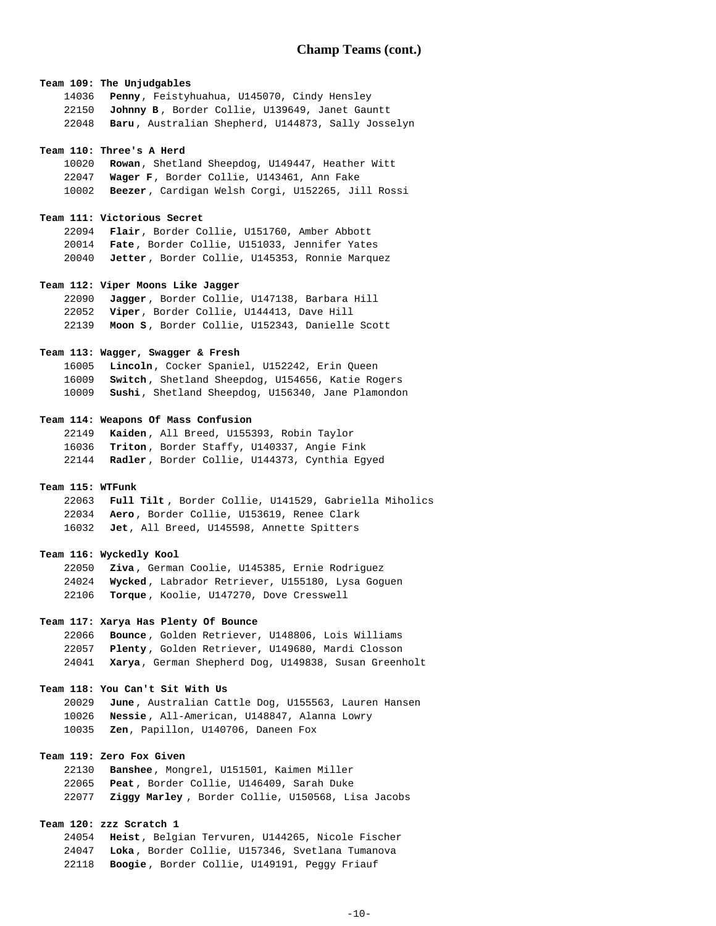**Team 109: The Unjudgables Penny**, Feistyhuahua, U145070, Cindy Hensley **Johnny B** , Border Collie, U139649, Janet Gauntt **Baru** , Australian Shepherd, U144873, Sally Josselyn

### **Team 110: Three's A Herd**

**Rowan**, Shetland Sheepdog, U149447, Heather Witt **Wager F**, Border Collie, U143461, Ann Fake **Beezer** , Cardigan Welsh Corgi, U152265, Jill Rossi

## **Team 111: Victorious Secret**

**Flair**, Border Collie, U151760, Amber Abbott **Fate** , Border Collie, U151033, Jennifer Yates **Jetter** , Border Collie, U145353, Ronnie Marquez

### **Team 112: Viper Moons Like Jagger**

**Jagger** , Border Collie, U147138, Barbara Hill **Viper**, Border Collie, U144413, Dave Hill **Moon S** , Border Collie, U152343, Danielle Scott

# **Team 113: Wagger, Swagger & Fresh**

**Lincoln**, Cocker Spaniel, U152242, Erin Queen **Switch** , Shetland Sheepdog, U154656, Katie Rogers **Sushi**, Shetland Sheepdog, U156340, Jane Plamondon

### **Team 114: Weapons Of Mass Confusion**

**Kaiden** , All Breed, U155393, Robin Taylor **Triton** , Border Staffy, U140337, Angie Fink **Radler** , Border Collie, U144373, Cynthia Egyed

## **Team 115: WTFunk**

**Full Tilt** , Border Collie, U141529, Gabriella Miholics **Aero** , Border Collie, U153619, Renee Clark **Jet**, All Breed, U145598, Annette Spitters

### **Team 116: Wyckedly Kool**

**Ziva** , German Coolie, U145385, Ernie Rodriguez **Wycked** , Labrador Retriever, U155180, Lysa Goguen **Torque** , Koolie, U147270, Dove Cresswell

### **Team 117: Xarya Has Plenty Of Bounce**

**Bounce** , Golden Retriever, U148806, Lois Williams **Plenty** , Golden Retriever, U149680, Mardi Closson **Xarya**, German Shepherd Dog, U149838, Susan Greenholt

## **Team 118: You Can't Sit With Us**

**June** , Australian Cattle Dog, U155563, Lauren Hansen **Nessie** , All-American, U148847, Alanna Lowry **Zen**, Papillon, U140706, Daneen Fox

# **Team 119: Zero Fox Given**

**Banshee**, Mongrel, U151501, Kaimen Miller **Peat** , Border Collie, U146409, Sarah Duke **Ziggy Marley** , Border Collie, U150568, Lisa Jacobs

# **Team 120: zzz Scratch 1**

**Heist**, Belgian Tervuren, U144265, Nicole Fischer **Loka** , Border Collie, U157346, Svetlana Tumanova **Boogie** , Border Collie, U149191, Peggy Friauf